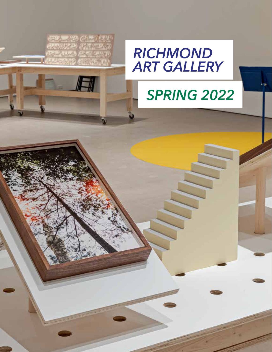

A

## *SPRING 2022*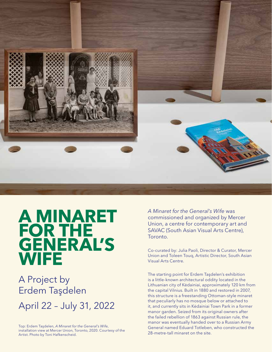

# **A MINARET** FOR THE<br>GENERAL'S **WIFE**

### A Project by Erdem Taşdelen April 22 – July 31, 2022

Top: Erdem Taşdelen, *A Minaret for the General's Wife*, installation view at Mercer Union, Toronto, 2020. Courtesy of the Artist. Photo by Toni Hafkenscheid.

*A Minaret for the General's Wife* was commissioned and organized by Mercer Union, a centre for contemporary art and SAVAC (South Asian Visual Arts Centre), Toronto.

Co-curated by: Julia Paoli, Director & Curator, Mercer Union and Toleen Touq, Artistic Director, South Asian Visual Arts Centre.

The starting point for Erdem Taşdelen's exhibition is a little-known architectural oddity located in the Lithuanian city of Kėdainiai, approximately 120 km from the capital Vilnius. Built in 1880 and restored in 2007, this structure is a freestanding Ottoman-style minaret that peculiarly has no mosque below or attached to it, and currently sits in Kėdainiai Town Park in a former manor garden. Seized from its original owners after the failed rebellion of 1863 against Russian rule, the manor was eventually handed over to a Russian Army General named Eduard Totleben, who constructed the 28-metre-tall minaret on the site.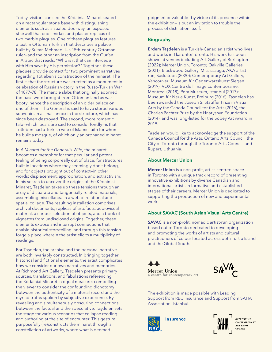Today, visitors can see the Kėdainiai Minaret seated on a rectangular stone base with distinguishing elements such as a sealed doorway, an exposed stairwell that ends midair, and plaster replicas of two marble plaques. One of these plaques features a text in Ottoman Turkish that describes a palace built by Sultan Mehmed II—a 15th-century Ottoman ruler—and the other an inscription from the Qur'an in Arabic that reads: "Who is it that can intercede with Him save by His permission?" Together, these plaques provide context for two prominent narratives regarding Totleben's construction of the minaret. The first is that the structure was erected as a monument in celebration of Russia's victory in the Russo-Turkish War of 1877–78. The marble slabs that originally adorned the base were brought from Ottoman land as war booty, hence the description of an older palace on one of them. The General is said to have stored various souvenirs in a small annex in the structure, which has since been destroyed. The second, more romantic tale—which locals are said to consider fondly—is that Totleben had a Turkish wife of Islamic faith for whom he built a mosque, of which only an orphaned minaret remains today.

In *A Minaret for the General's Wife*, the minaret becomes a metaphor for that peculiar and potent feeling of being corporeally out of place, for structures built in locations where they seemingly don't belong, and for objects brought out of context—in other words; displacement, appropriation, and extractivism. In his search to uncover the origins of the Kėdainiai Minaret, Taşdelen takes up these tensions through an array of disparate and tangentially related materials, assembling miscellanea in a web of relational and spatial collage. The resulting installation comprises archival documents, replicas of artefacts, audiovisual material, a curious selection of objects, and a book of vignettes from undisclosed origins. Together, these elements expose and interrupt connections that enable historical storytelling, and through this tension forge a place wherein the artist elicits a multiplicity of readings.

For Taşdelen, the archive and the personal narrative are both invariably constructed. In bringing together historical and fictional elements, the artist complicates how we consider our own narratives and memories. At Richmond Art Gallery, Taşdelen presents primary sources, translations, and fabulations referencing the Kėdainiai Minaret in equal measure; compelling the viewer to consider the confounding dichotomy between the authenticity of a material record and the myriad truths spoken by subjective experience. By revealing and simultaneously obscuring connections between the factual and the speculative, Taşdelen sets the stage for various scenarios that collapse reading and authoring at the site of encounter. This gesture purposefully (re)constructs the minaret through a constellation of artworks, where what is deemed

poignant or valuable—by virtue of its presence within the exhibition—is but an invitation to trouble the process of distillation itself.

#### Biography

Erdem Taşdelen is a Turkish-Canadian artist who lives and works in Tkaronto/Toronto. His work has been shown at venues including Art Gallery of Burlington (2022); Mercer Union, Toronto; Oakville Galleries (2021); Blackwood Gallery, Mississauga; AKA artistrun, Saskatoon (2020); Contemporary Art Gallery, Vancouver; Museum für Gegenwartskunst Siegen (2019); VOX Centre de l'image contemporaine, Montreal (2018); Pera Museum, Istanbul (2017); Museum für Neue Kunst, Freiburg (2016). Taşdelen has been awarded the Joseph S. Stauffer Prize in Visual Arts by the Canada Council for the Arts (2016), the Charles Pachter Prize by the Hnatyshyn Foundation (2014), and was long-listed for the Sobey Art Award in 2019.

Taşdelen would like to acknowledge the support of the Canada Council for the Arts, Ontario Arts Council, the City of Toronto through the Toronto Arts Council, and Rupert, Lithuania.

#### About Mercer Union

Mercer Union is a non-profit, artist-centred space in Toronto with a unique track record of presenting innovative exhibitions by diverse Canadian and international artists in formative and established stages of their careers. Mercer Union is dedicated to supporting the production of new and experimental work.

#### About SAVAC (South Asian Visual Arts Centre)

SAVAC is a non-profit, nomadic artist-run organization based out of Toronto dedicated to developing and promoting the works of artists and cultural practitioners of colour located across both Turtle Island and the Global South.

**Mercer Union** a centre for contemporary art



The exhibition is made possible with Leading Support from RBC Insurance and Support from SAHA Association, Istanbul.



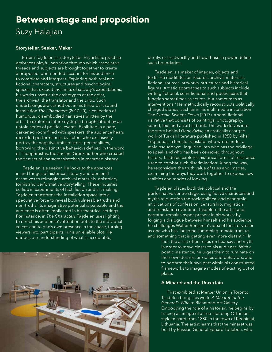### **Between stage and proposition** Suzy Halajian

#### Storyteller, Seeker, Maker

Erdem Taşdelen is a storyteller. His artistic practice embraces playful narration through which associative threads and subjects are brought together to create a proposed, open-ended account for his audience to complete and interpret. Exploring both real and fictional characters, structures and psychological spaces that exceed the limits of society's expectations, his works unsettle the archetypes of the artist, the archivist, the translator and the critic. Such undertakings are carried out in his three-part sound installation *The Characters* (2017-20), a collection of humorous, disembodied narratives written by the artist to explore a future dystopia brought about by an untold series of political events. Exhibited in a bare, darkened room filled with speakers, the audience hears recorded performances by actors who exclusively portray the negative traits of stock personalities, borrowing the distinctive behaviors defined in the work of Theophrastus, the ancient Greek author who created the first set of character sketches in recorded history.

 Taşdelen is a seeker. He looks to the absences in and fringes of historical, literary and personal narratives to reimagine archival materials, epistolary forms and performative storytelling. These inquiries collide in experiments of fact, fiction and art-making. Taşdelen transforms the installation space into a speculative force to reveal both vulnerable truths and non-truths. Its imaginative potential is palpable and the audience is often implicated in his theatrical settings. For instance, in *The Characters* Taşdelen uses lighting to direct his audience's attention both to the individual voices and to one's own presence in the space, turning viewers into participants in his unreliable plot. He undoes our understanding of what is acceptable,



unruly, or trustworthy and how those in power define such boundaries.

 Taşdelen is a maker of images, objects and texts. He meditates on records, archival materials, fictional sources, artworks, structures and historical figures. Artistic approaches to such subjects include writing fictional, semi-fictional and poetic texts that function sometimes as scripts, but sometimes as interventions.<sup>i</sup> He methodically reconstructs politically charged stories, such as in his multimedia installation The *Curtain Sweeps Down* (2017), a semi-fictional narrative that consists of paintings, photography, sound, text and an artist book. The work delves into the story behind *Genç Kızlar*, an erotically charged work of Turkish literature published in 1950 by Nihal Yeğinobalı, a female translator who wrote under a male pseudonym. Inquiring into who has the privilege to speak and who has been censored throughout history, Taşdelen explores historical forms of resistance used to combat such discrimination. Along the way, he reconsiders the truth value of tales and images, examining the ways they work together to expose new realities and modes of looking.

 Taşdelen places both the political and the performative centre stage, using fictive characters and myths to question the sociopolitical and economic implications of confession, censorship, migration and translation over time. Taşdelen—the artist and narrator—remains hyper-present in his works; by forging a dialogue between himself and his audience, he challenges Walter Benjamin's idea of the storyteller as one who has "become something remote from us and something that is getting even more distant." ii In

> fact, the artist often relies on hearsay and myth in order to move closer to his audience. With a poetic insistence, he urges them to ruminate on their own desires, anxieties and behaviors, and to perform their own part within his constructed frameworks to imagine modes of existing out of place.

#### A Minaret and the Uncertain

First exhibited at Mercer Union in Toronto, Taşdelen brings his work, *A Minaret for the General's Wife* to Richmond Art Gallery. Embodying the role of a historian, he begins by tracing an image of a free-standing Ottomanstyle minaret from 1880 in the town of Kėdainiai, Lithuania. The artist learns that the minaret was built by Russian General Eduard Totleben, who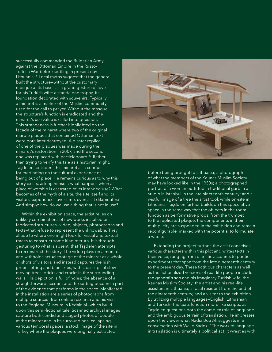successfully commanded the Bulgarian Army against the Ottoman Empire in the Russo-Turkish War before settling in present day Lithuania.<sup>iii</sup> Local myths suggest that the general built the structure—without the customary mosque at its base—as a grand gesture of love for his Turkish wife: a standalone trophy, its foundation decorated with souvenirs. Typically, a minaret is a marker of the Muslim community, used for the call to prayer. Without the mosque, the structure's function is eradicated and the minaret's use value is called into question. This strangeness is further highlighted on the façade of the minaret where two of the original marble plaques that contained Ottoman text were both later destroyed. A plaster replica of one of the plaques was made during the minaret's restoration in 2007, and the second one was replaced with particleboard. iv Rather than trying to verify this tale as a historian might, Taşdelen considers this minaret as a conduit for meditating on the cultural experience of being out of place. He remains curious as to why this story exists, asking himself: what happens when a place of worship is castrated of its intended use? What becomes of the myth of a site, the site itself and its visitors' experiences over time, even as it dilapidates? And simply: how do we use a thing that is not in use?

Within the exhibition space, the artist relies on unlikely combinations of new works installed on fabricated structures—video, objects, photographs and texts—that refuse to represent the unknowable. They allude to where one might look for visual and textual traces to construct some kind of truth. It is through gesturing to what is absent, that Taşdelen attempts to reconstruct the story. The video plays on a monitor and withholds actual footage of the minaret as a whole or shots of visitors, and instead captures the lush green setting and blue skies, with close-ups of slowmoving trees, bricks and cracks in the surrounding walls. His depiction is full of holes; the absence of a straightforward account and the setting become a part of the evidence that performs in the space. Manifested in the installation are a series of photographs from multiple sources—from online research and his visit to the Regional Museum in Kėdainiai—which build upon this semi-fictional tale. Scanned archival images capture both candid and staged photos of people at the minaret and in its surroundings, collapsing various temporal spaces: a stock image of the site in Turkey where the plaques were originally extracted



before being brought to Lithuania; a photograph of what the members of the Kaunas Muslim Society may have looked like in the 1930s; a photographed portrait of a woman outfitted in traditional garb in a studio in Istanbul in the late nineteenth century; and a wistful image of a tree the artist took while on-site in Lithuania. Taşdelen further builds on this speculative space in the same way that the objects in the room function as performative props; from the trumpet to the replicated plaque, the components in their multiplicity are suspended in the exhibition and remain reconfigurable, marked with the potential to formulate a whole.

Extending the project further, the artist conceives various characters within this plot and writes texts in their voice, ranging from diaristic accounts to poetic experiments that span from the late nineteenth century to the present day. These fictitious characters as well as the fictionalized versions of real-life people include the general's son and his imaginary Turkish wife; the Kaunas Muslim Society; the artist and his real-life assistant in Lithuania; a local resident from the end of the nineteenth century; and a visitor to the exhibition. By utilizing multiple languages—English, Lithuanian and Turkish—the texts function more like scripts, as Taşdelen questions both the complex role of language and the ambiguous terrain of translation. He impresses upon the viewer what Nadia Bou Ali suggests in a conversation with Walid Sadek: "The work of language in translation is ultimately a political act. It wrestles with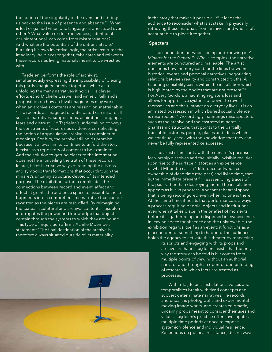the notion of the singularity of the event and it brings us back to the issue of presence and absence." V What is lost or gained when one language is prioritized over others? What value or destructiveness, intentional or unintentional, can come from mistranslations? And what are the potentials of the untranslatable? Pursuing his own inventive logic, the artist institutes the imaginary: he pieces together, fabricates and reinvents these records as living materials meant to be wrestled with.

Taşdelen performs the role of archivist, simultaneously expressing the impossibility of piecing this partly imagined archive together, while also unfolding the many narratives it holds. His clever efforts echo Michelle Caswell and Anne J. Gilliland's proposition on how archival imaginaries may work when an archive's contents are missing or unattainable: "The records as imagined or anticipated can inspire all sorts of narratives, suppositions, aspirations, longings, fears and distrust..." vi Taşdelen's undertaking conveys the constraints of records as evidence, complicating the notion of a speculative archive as a container of meanings. For him, the archive still holds promise because it allows him to continue to unfold the story; it exists as a repository of content to be examined. And the solution to getting closer to the information does not lie in unveiling the truth of these records. In fact, it lies in creative ways of reading the elisions and symbolic transformations that occur through the minaret's uncanny structure, devoid of its intended purpose. The exhibition further complicates the connections between record and event, affect and effect. It grants the audience space to assemble these fragments into a comprehensible narrative that can be rewritten as the pieces are reshuffled. By reimagining the textual, sculptural and archival contents, Taşdelen interrogates the power and knowledge that objects contain through the systems to which they are bound. This type of inquisition affirms Achille Mbembe's statement: "The final destination of the archive is therefore always situated outside of its materiality,



in the story that makes it possible." viil It leads the audience to reconsider what is at stake in physically retrieving these materials from archives, and who is left accountable to piece it together.

#### **Specters**

The connection between seeing and knowing in *A Minaret for the General's Wife* is complex—the narrative elements are punctured and malleable. The artist questions how memory can blur the lines between historical events and personal narratives, negotiating relations between reality and constructed truths. A haunting sensibility exists within the installation which is highlighted by the bodies that are not present."<sup>iii</sup> For Avery Gordon, a haunting registers loss and allows for oppressive systems of power to reveal themselves and their impact on everyday lives. It is an animated possession in which buried social violence is resurrected.<sup>ix</sup> Accordingly, hauntings raise specters such as the archive and the castrated minaret—a phantasmic structure, that points to the partially traceable histories, people, places and ideas which we continually seek with the knowledge that they can never be fully represented or accessed.

 The artist's familiarity with the minaret's purpose for worship dissolves and the initially invisible realities soon rise to the surface.<sup>\*</sup> It forces an experience of what Mbembe calls a "difference between coownership of dead time (the past) and living time, that is, the immediate present," xi reassembling traces of the past rather than destroying them. The installation appears as it is in progress, a vacant rehearsal space that is being reconfigured even when no one is there. At the same time, it posits that performance is always a process requiring people, objects and institutions, even when it takes place in the briefest of moments before it is gathered up and dispersed in evanescence. In leaving space for absence and the unknowable, the exhibition regards itself as an event; it functions as a placeholder for something to happen. The audience holds the agency to activate this theater by rehearsing

its scripts and engaging with its props and archive firsthand. Taşdelen insists that the only way the story can be told is if it comes from multiple points of view, without an authorial narrator and through an open-ended unfolding of research in which facts are treated as processes.

 Within Taşdelen's installations, voices and temporalities break with fixed concepts and subvert determinate narratives. He records and unearths photographs and experimental moving image works, and creates enigmatic, uncanny props meant to consider their uses and values. Taşdelen's practice often investigates multiple time periods at once to expose systemic violence and individual resilience. Reflections on political resistance, desire, ways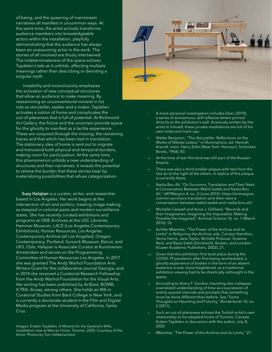of being, and the queering of mainstream narratives all manifest in uncommon ways. At the same time, the artist actively transforms audience members into knowledgeable actors within the installation, playfully demonstrating that the audience has always been an unassuming actor in the work. The stories of all involved are thusly intertwined. The indeterminateness of the space echoes Taşdelen's tale as it unfolds, affecting multiple meanings rather than describing or denoting a singular myth.

 Instability and inconclusivity emphasize the activation of new conceptual structures that allow an audience to make meaning. By reexamining an unconventional minaret in his role as storyteller, seeker and a maker, Taşdelen activates a notion of home and complicates the out-of-placeness that is full of potential. At Richmond Art Gallery, the fictive and the uncertain provide space for the ghostly to manifest as a tactile experience. These are conjured through the missing, the remaining traces and that which has been lost in translation. The stationary idea of home is sent out to migrate and transcend both physical and temporal borders, making room for participation. At the same time, this phenomenon unfolds a new understanding of structures and their narratives: it reveals the potential to relieve the burden that these stories bear by materializing possibilities that refuse categorization.

Suzy Halajian is a curator, writer, and researcher based in Los Angeles. Her work begins at the intersection of art and politics, treating image making as steeped in colonial pasts and modern surveillance states. She has recently curated exhibitions and programs at ONE Archives at the USC Libraries, Hammer Museum, LACE (Los Angeles Contemporary Exhibitions), Human Resources, Los Angeles Contemporary Archive (all Los Angeles); Oregon Contemporary, Portland; Sursock Museum, Beirut; and UKS, Oslo. Halajian is Associate Curator at Kunstverein Amsterdam and serves on the Programming Committee of Human Resources Los Angeles. In 2017 she was granted The Andy Warhol Foundation Arts Writers Grant for the collaborative journal Georgia, and in 2014 she received a Curatorial Research Fellowship from the Andy Warhol Foundation for the Visual Arts. Her writing has been published by ArtEast, BOMB, X-TRA, Ibraaz, among others. She holds an MA in Curatorial Studies from Bard College in New York, and is currently a doctorate student in the Film and Digital Media program at the University of California, Santa Cruz.

Images: Erdem Taşdelen, *A Minaret for the General's Wife,*  installation view at Mercer Union, Toronto, 2020. Courtesy of the Artist. Photos by Toni Hafkenscheid.



- i. A more personal investigation includes *Dear*, (2010), a series of anonymous, self-reflexive letters pinned directly to the exhibition's wall. Anxiously written by the artist to himself, these private meditations are full of his own notes and mark-ups.
- Walter Benjamin, "The Storyteller: Reflections on the Works of Nikolai Leskov," in *Illuminations*, ed. Hannah Arendt, trans. Harry Zohn (New York: Harcourt, Schocken Books, 1968), 83.
- At the time of war this land was still part of the Russian Empire.
- iv. There was also a third smaller plaque with text from the Qur'an to the right of the others. A replica of this plaque is currently there.
- Nadia Bou Ali, "On Survivors, Translation and Their Next: A Conversation Between Walid Sadek and Nadia Bou Ali," *ARTMargins 4*, no. 2 (June 2015): https://artmargins. com/on-survivors-translation-and-their-next-aconversation-between-walid-sadek-and-nadia-bou-ali/.
- Michelle Caswell and Anne J. Gilliland, "Records and their Imaginaries: Imagining the Impossible, Making Possible the Imagined," *Archival Science 16*, no. 1 (March 2016): 55.
- Achille Mbembe, "The Power of the Archive and its Limits" in *Refiguring the Archive*, eds. Carolyn Hamilton, Verne Harris, Jane Taylor, Michèle Pickover, Graeme Reid, and Razia Saleh (Dordrecht, Boston, and London: Kluwer Academic Publishers, 2002), 21.
- viii. Given that this exhibition first took place during the COVID-19 pandemic after first being rescheduled, a ghostly experience of bodies in the form of an absent audience is ever more heightened, as a traditional exhibition viewing had to be drastically rethought in the space.
- According to Avery F. Gordon, haunting also collapses a serialized understanding of time as a succession of evenly spaced intervals and prompts that something must be done different than before. See "Some Thoughts on Haunting and Futurity," *Borderlands 10*, no. 2 (2011).
- Such an out-of-placeness echoes the Turkish artist's own relationship to his adopted home of Toronto, Canada. Erdem Taşdelen in discussion with the author, July 8, 2020.
- Mbembe, "The Power of the Archive and its Limits," 21.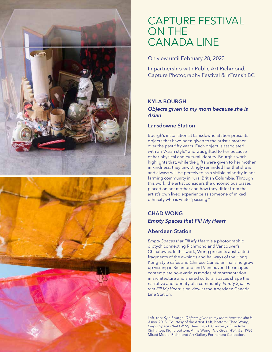

### CAPTURE FESTIVAL ON THE CANADA LINE

On view until February 28, 2023

In partnership with Public Art Richmond, Capture Photography Festival & InTransit BC

### KYLA BOURGH

*Objects given to my mom because she is Asian*

#### Lansdowne Station

Bourgh's installation at Lansdowne Station presents objects that have been given to the artist's mother over the past fifty years. Each object is associated with an "Asian style" and was gifted to her because of her physical and cultural identity. Bourgh's work highlights that, while the gifts were given to her mother in kindness, they unwittingly reminded her that she is and always will be perceived as a visible minority in her farming community in rural British Columbia. Through this work, the artist considers the unconscious biases placed on her mother and how they differ from the artist's own lived experience as someone of mixed ethnicity who is white "passing."

#### CHAD WONG *Empty Spaces that Fill My Heart*

#### Aberdeen Station

*Empty Spaces that Fill My Heart* is a photographic diptych connecting Richmond and Vancouver's Chinatowns. In this work, Wong presents abstracted fragments of the awnings and hallways of the Hong Kong-style cafes and Chinese Canadian malls he grew up visiting in Richmond and Vancouver. The images contemplate how various modes of representation in architecture and shared cultural spaces shape the narrative and identity of a community. *Empty Spaces that Fill My Heart* is on view at the Aberdeen Canada Line Station.

Left, top: Kyla Bourgh, *Objects given to my Mom because she is Asian*, 2018. Courtesy of the Artist. Left, bottom: Chad Wong, *Empty Spaces that Fill My Heart*, 2021. Courtesy of the Artist. Right, top: Right, bottom: Anna Wong, *The Great Wall: #3,* 1986, Mixed Media. Richmond Art Gallery Permanent Collection.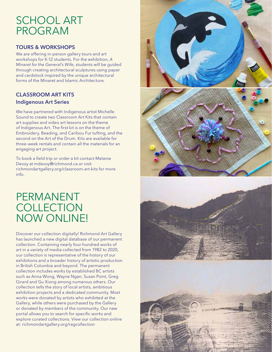### SCHOOL ART PROGRAM

#### TOURS & WORKSHOPS

We are offering in-person gallery tours and art workshops for K-12 students. For the exhibition, *A Minaret for the General's Wife*, students will be guided through creating architectural sculptures using paper and cardstock inspired by the unique architectural forms of the Minaret and Islamic Architecture.

#### CLASSROOM ART KITS Indigenous Art Series

We have partnered with Indigenous artist Michelle Sound to create two Classroom Art Kits that contain art supplies and video art lessons on the theme of Indigenous Art. The first kit is on the theme of Embroidery, Beading, and Caribou Fur tufting, and the second on the Art of the Drum. Kits are available for three-week rentals and contain all the materials for an engaging art project.

To book a field trip or order a kit contact Melanie Devoy at mdevoy@richmond.ca or visit richmondartgallery.org/classroom-art-kits for more info.

PERMANENT **COLLECTION** NOW ONLINE!

Discover our collection digitally! Richmond Art Gallery has launched a new digital database of our permanent collection. Containing nearly four-hundred works of art in a variety of media collected from 1982 to 2020, our collection is representative of the history of our exhibitions and a broader history of artistic production in British Columbia and beyond. The permanent collection includes works by established BC artists such as Anna Wong, Wayne Ngan, Susan Point, Greg Girard and Gu Xiong among numerous others. Our collection tells the story of local artists, ambitious exhibition projects and a dedicated community. Most works were donated by artists who exhibited at the Gallery, while others were purchased by the Gallery or donated by members of the community. Our new portal allows you to search for specific works and explore curated collections. View our collection online at: richmondartgallery.org/ragcollection

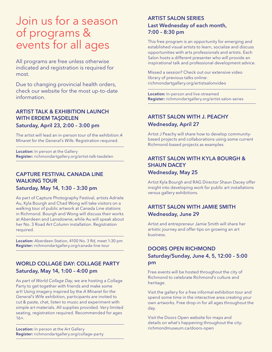### Join us for a season of programs & events for all ages

All programs are free unless otherwise indicated and registration is required for most.

Due to changing provincial health orders, check our website for the most up-to-date information.

#### ARTIST TALK & EXHIBITION LAUNCH WITH ERDEM TAŞDELEN Saturday, April 23, 2:00 – 3:00 pm

The artist will lead an in-person tour of the exhibition *A Minaret for the General's Wife*. Registration required.

Location: In person at the Gallery Register: richmondartgallery.org/artist-talk-tasdelen

#### CAPTURE FESTIVAL CANADA LINE WALKING TOUR

Saturday, May 14, 1:30 – 3:30 pm

As part of Capture Photography Festival, artists Adriele Au, Kyla Bourgh and Chad Wong will take visitors on a walking tour of public artwork at Canada Line stations in Richmond. Bourgh and Wong will discuss their works at Aberdeen and Lansdowne, while Au will speak about her No. 3 Road Art Column installation. Registration required.

Location: Aberdeen Station, 4100 No. 3 Rd, meet 1:30 pm Register: richmondartgallery.org/canada-line-tour

#### WORLD COLLAGE DAY: COLLAGE PARTY Saturday, May 14, 1:00 – 4:00 pm

As part of *World Collage Day*, we are hosting a Collage Party to get together with friends and make some art! Using imagery inspired by the *A Minaret for the General's Wife* exhibition, participants are invited to cut & paste, chat, listen to music and experiment with simple art materials. All supplies provided. Very limited seating, registration required. Recommended for ages 16+.

Location: In person at the Art Gallery Register: richmondartgallery.org/collage-party

#### ARTIST SALON SERIES Last Wednesday of each month, 7:00 – 8:30 pm

This free program is an opportunity for emerging and established visual artists to learn, socialize and discuss opportunities with arts professionals and artists. Each Salon hosts a different presenter who will provide an inspirational talk and professional development advice.

Missed a session? Check out our extensive video library of previous talks online: richmondartgallery.org/artistsalonvideo

Location: In-person and live-streamed Register: richmondartgallery.org/artist-salon-series

#### ARTIST SALON WITH J. PEACHY Wednesday, April 27

Artist J Peachy will share how to develop communitybased projects and collaborations using some current Richmond-based projects as examples.

#### ARTIST SALON WITH KYLA BOURGH & SHAUN DACEY Wednesday, May 25

Artist Kyla Bourgh and RAG Director Shaun Dacey offer insight into developing work for public art installations versus gallery exhibitions.

#### ARTIST SALON WITH JAMIE SMITH Wednesday, June 29

Artist and entrepreneur Jamie Smith will share her artistic journey and offer tips on growing an art business.

#### DOORS OPEN RICHMOND Saturday/Sunday, June 4, 5, 12:00 – 5:00 pm

Free events will be hosted throughout the city of Richmond to celebrate Richmond's culture and heritage.

Visit the gallery for a free informal exhibition tour and spend some time in the interactive area creating your own artworks. Free drop-in for all ages throughout the day.

Visit the Doors Open website for maps and details on what's happening throughout the city: richmondmuseum.ca/doors-open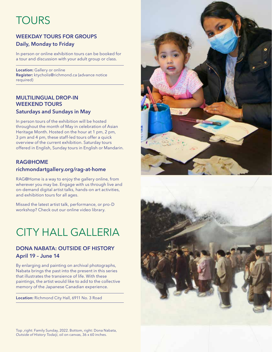## **TOURS**

#### WEEKDAY TOURS FOR GROUPS Daily, Monday to Friday

In person or online exhibition tours can be booked for a tour and discussion with your adult group or class.

Location: Gallery or online Register: ktycholis@richmond.ca (advance notice required)

#### MULTILINGUAL DROP-IN WEEKEND TOURS Saturdays and Sundays in May

In person tours of the exhibition will be hosted throughout the month of May in celebration of Asian Heritage Month. Hosted on the hour at 1 pm, 2 pm, 3 pm and 4 pm, these staff-led tours offer a quick overview of the current exhibition. Saturday tours offered in English, Sunday tours in English or Mandarin.

#### RAG@HOME

#### richmondartgallery.org/rag-at-home

RAG@Home is a way to enjoy the gallery online, from wherever you may be. Engage with us through live and on-demand digital artist talks, hands-on art activities, and exhibition tours for all ages.

Missed the latest artist talk, performance, or pro-D workshop? Check out our online video library.

### CITY HALL GALLERIA

#### DONA NABATA: OUTSIDE OF HISTORY April 19 – June 14

By enlarging and painting on archival photographs, Nabata brings the past into the present in this series that illustrates the transience of life. With these paintings, the artist would like to add to the collective memory of the Japanese Canadian experience.

Location: Richmond City Hall, 6911 No. 3 Road





Top ,right: Family Sunday, 2022. Bottom, right: Dona Nabata, *Outside of History Todaiji*, oil on canvas, 36 x 60 inches.